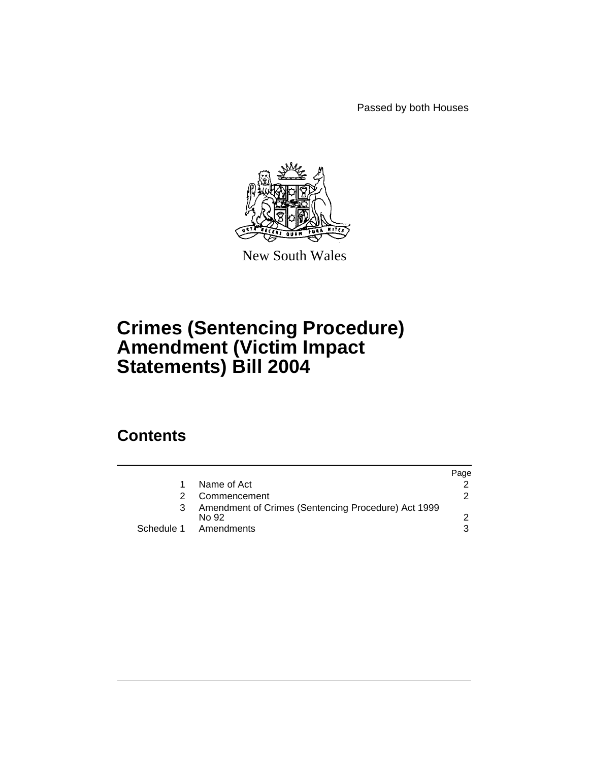Passed by both Houses



New South Wales

# **Crimes (Sentencing Procedure) Amendment (Victim Impact Statements) Bill 2004**

## **Contents**

|                                                              | Page |
|--------------------------------------------------------------|------|
| Name of Act                                                  |      |
| Commencement                                                 |      |
| Amendment of Crimes (Sentencing Procedure) Act 1999<br>No 92 |      |
| Schedule 1 Amendments                                        |      |
|                                                              |      |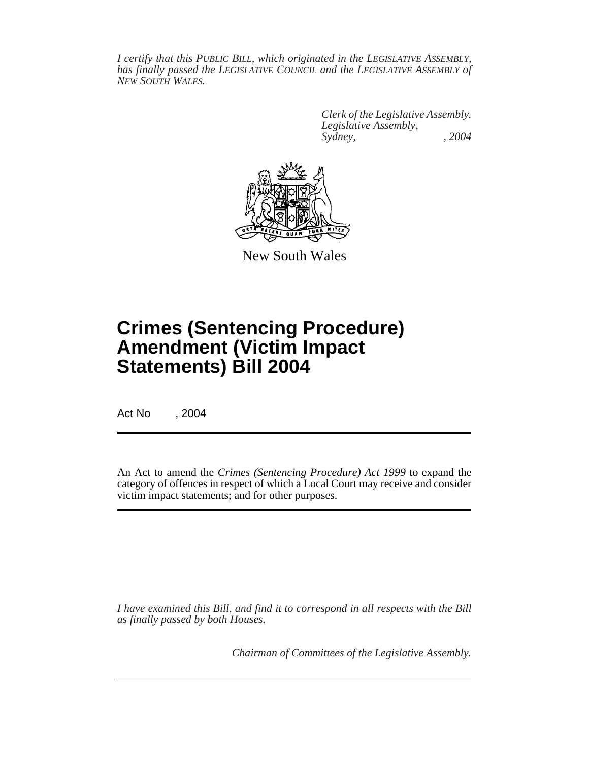*I certify that this PUBLIC BILL, which originated in the LEGISLATIVE ASSEMBLY, has finally passed the LEGISLATIVE COUNCIL and the LEGISLATIVE ASSEMBLY of NEW SOUTH WALES.*

> *Clerk of the Legislative Assembly. Legislative Assembly, Sydney, , 2004*



New South Wales

# **Crimes (Sentencing Procedure) Amendment (Victim Impact Statements) Bill 2004**

Act No , 2004

An Act to amend the *Crimes (Sentencing Procedure) Act 1999* to expand the category of offences in respect of which a Local Court may receive and consider victim impact statements; and for other purposes.

*I have examined this Bill, and find it to correspond in all respects with the Bill as finally passed by both Houses.*

*Chairman of Committees of the Legislative Assembly.*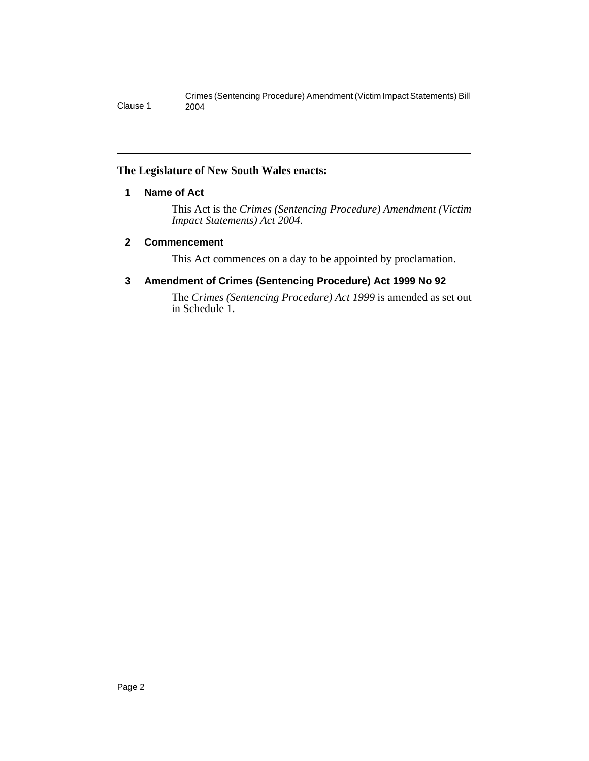Crimes (Sentencing Procedure) Amendment (Victim Impact Statements) Bill Clause 1 2004

#### **The Legislature of New South Wales enacts:**

#### **1 Name of Act**

This Act is the *Crimes (Sentencing Procedure) Amendment (Victim Impact Statements) Act 2004*.

#### **2 Commencement**

This Act commences on a day to be appointed by proclamation.

#### **3 Amendment of Crimes (Sentencing Procedure) Act 1999 No 92**

The *Crimes (Sentencing Procedure) Act 1999* is amended as set out in Schedule 1.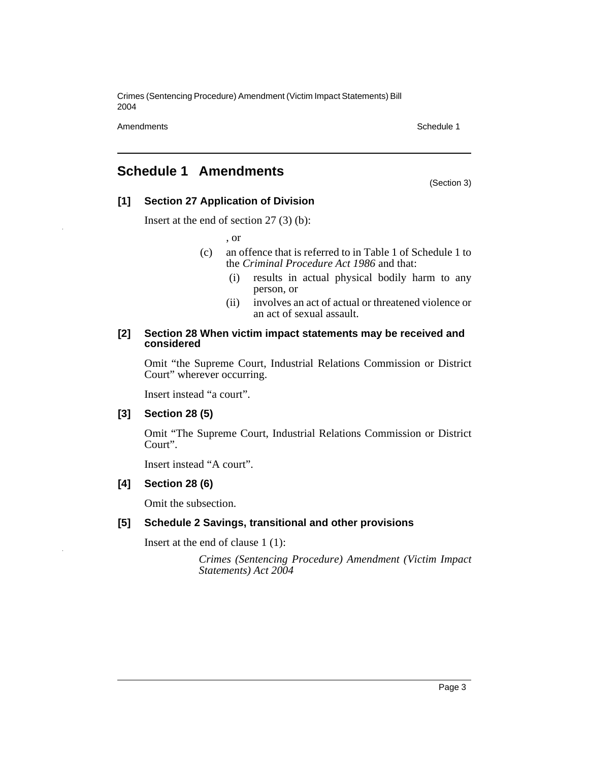Crimes (Sentencing Procedure) Amendment (Victim Impact Statements) Bill 2004

Amendments **Schedule 1** and the 1990 state 1 and 1990 state 1 and 1990 state 1 and 1990 state 1 and 1990 state 1

(Section 3)

### **Schedule 1 Amendments**

#### **[1] Section 27 Application of Division**

Insert at the end of section 27 (3) (b):

, or

- (c) an offence that is referred to in Table 1 of Schedule 1 to the *Criminal Procedure Act 1986* and that:
	- (i) results in actual physical bodily harm to any person, or
	- (ii) involves an act of actual or threatened violence or an act of sexual assault.

#### **[2] Section 28 When victim impact statements may be received and considered**

Omit "the Supreme Court, Industrial Relations Commission or District Court" wherever occurring.

Insert instead "a court".

#### **[3] Section 28 (5)**

Omit "The Supreme Court, Industrial Relations Commission or District Court".

Insert instead "A court".

#### **[4] Section 28 (6)**

Omit the subsection.

#### **[5] Schedule 2 Savings, transitional and other provisions**

Insert at the end of clause 1 (1):

*Crimes (Sentencing Procedure) Amendment (Victim Impact Statements) Act 2004*